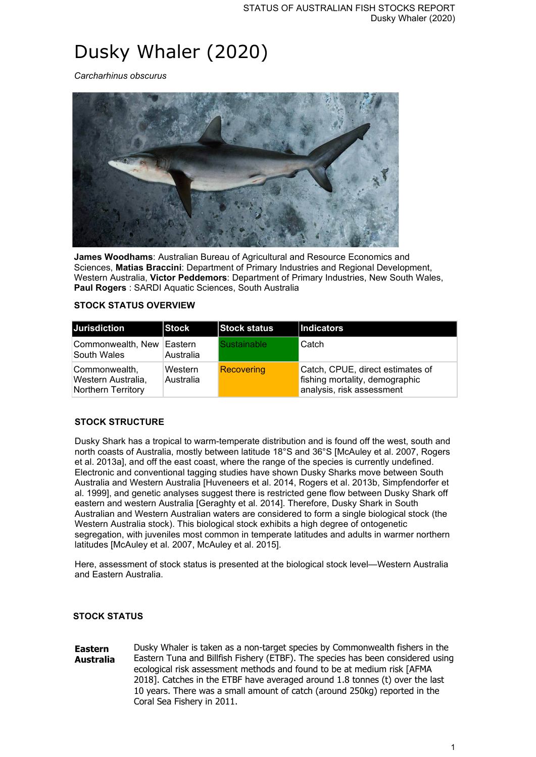# Dusky Whaler (2020)

*Carcharhinus obscurus*



**James Woodhams**: Australian Bureau of Agricultural and Resource Economics and Sciences, **Matias Braccini**: Department of Primary Industries and Regional Development, Western Australia, **Victor Peddemors**: Department of Primary Industries, New South Wales, **Paul Rogers** : SARDI Aquatic Sciences, South Australia

#### **STOCK STATUS OVERVIEW**

| <b>Jurisdiction</b>                                              | <b>Stock</b>         | <b>Stock status</b> | <b>Indicators</b>                                                                               |
|------------------------------------------------------------------|----------------------|---------------------|-------------------------------------------------------------------------------------------------|
| Commonwealth, New<br>South Wales                                 | Eastern<br>Australia | Sustainable         | Catch                                                                                           |
| Commonwealth,<br><b>Western Australia,</b><br>Northern Territory | Western<br>Australia | Recovering          | Catch, CPUE, direct estimates of<br>fishing mortality, demographic<br>analysis, risk assessment |

#### **STOCK STRUCTURE**

Dusky Shark has a tropical to warm-temperate distribution and is found off the west, south and north coasts of Australia, mostly between latitude 18°S and 36°S [McAuley et al. 2007, Rogers et al. 2013a], and off the east coast, where the range of the species is currently undefined. Electronic and conventional tagging studies have shown Dusky Sharks move between South Australia and Western Australia [Huveneers et al. 2014, Rogers et al. 2013b, Simpfendorfer et al. 1999], and genetic analyses suggest there is restricted gene flow between Dusky Shark off eastern and western Australia [Geraghty et al. 2014]. Therefore, Dusky Shark in South Australian and Western Australian waters are considered to form a single biological stock (the Western Australia stock). This biological stock exhibits a high degree of ontogenetic segregation, with juveniles most common in temperate latitudes and adults in warmer northern latitudes [McAuley et al. 2007, McAuley et al. 2015].

Here, assessment of stock status is presented at the biological stock level—Western Australia and Eastern Australia.

#### **STOCK STATUS**

**Eastern Australia** Dusky Whaler is taken as a non-target species by Commonwealth fishers in the Eastern Tuna and Billfish Fishery (ETBF). The species has been considered using ecological risk assessment methods and found to be at medium risk [AFMA 2018]. Catches in the ETBF have averaged around 1.8 tonnes (t) over the last 10 years. There was a small amount of catch (around 250kg) reported in the Coral Sea Fishery in 2011.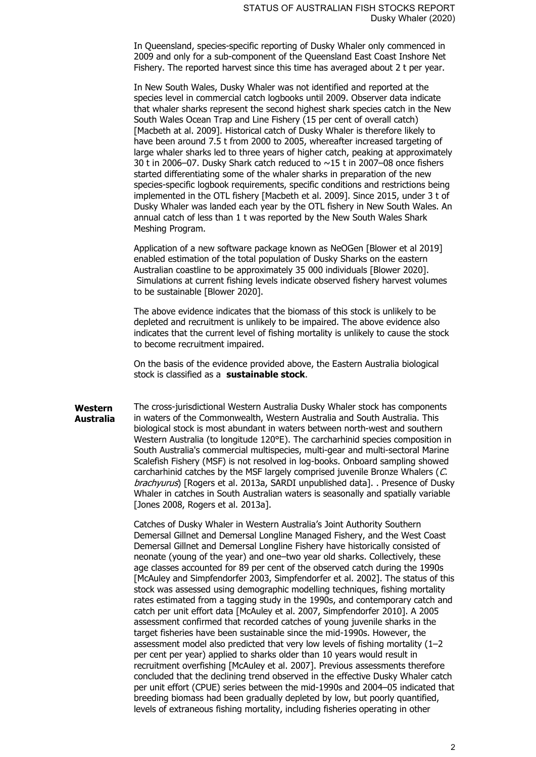In Queensland, species-specific reporting of Dusky Whaler only commenced in 2009 and only for a sub-component of the Queensland East Coast Inshore Net Fishery. The reported harvest since this time has averaged about 2 t per year.

In New South Wales, Dusky Whaler was not identified and reported at the species level in commercial catch logbooks until 2009. Observer data indicate that whaler sharks represent the second highest shark species catch in the New South Wales Ocean Trap and Line Fishery (15 per cent of overall catch) [Macbeth at al. 2009]. Historical catch of Dusky Whaler is therefore likely to have been around 7.5 t from 2000 to 2005, whereafter increased targeting of large whaler sharks led to three years of higher catch, peaking at approximately 30 t in 2006–07. Dusky Shark catch reduced to ~15 t in 2007–08 once fishers started differentiating some of the whaler sharks in preparation of the new species-specific logbook requirements, specific conditions and restrictions being implemented in the OTL fishery [Macbeth et al. 2009]. Since 2015, under 3 t of Dusky Whaler was landed each year by the OTL fishery in New South Wales. An annual catch of less than 1 t was reported by the New South Wales Shark Meshing Program.

Application of a new software package known as NeOGen [Blower et al 2019] enabled estimation of the total population of Dusky Sharks on the eastern Australian coastline to be approximately 35 000 individuals [Blower 2020]. Simulations at current fishing levels indicate observed fishery harvest volumes to be sustainable [Blower 2020].

The above evidence indicates that the biomass of this stock is unlikely to be depleted and recruitment is unlikely to be impaired. The above evidence also indicates that the current level of fishing mortality is unlikely to cause the stock to become recruitment impaired.

On the basis of the evidence provided above, the Eastern Australia biological stock is classified as a **sustainable stock**.

**Western Australia** The cross-jurisdictional Western Australia Dusky Whaler stock has components in waters of the Commonwealth, Western Australia and South Australia. This biological stock is most abundant in waters between north-west and southern Western Australia (to longitude 120°E). The carcharhinid species composition in South Australia's commercial multispecies, multi-gear and multi-sectoral Marine Scalefish Fishery (MSF) is not resolved in log-books. Onboard sampling showed carcharhinid catches by the MSF largely comprised juvenile Bronze Whalers (C. brachyurus) [Rogers et al. 2013a, SARDI unpublished data]. . Presence of Dusky Whaler in catches in South Australian waters is seasonally and spatially variable [Jones 2008, Rogers et al. 2013a].

> Catches of Dusky Whaler in Western Australia's Joint Authority Southern Demersal Gillnet and Demersal Longline Managed Fishery, and the West Coast Demersal Gillnet and Demersal Longline Fishery have historically consisted of neonate (young of the year) and one–two year old sharks. Collectively, these age classes accounted for 89 per cent of the observed catch during the 1990s [McAuley and Simpfendorfer 2003, Simpfendorfer et al. 2002]. The status of this stock was assessed using demographic modelling techniques, fishing mortality rates estimated from a tagging study in the 1990s, and contemporary catch and catch per unit effort data [McAuley et al. 2007, Simpfendorfer 2010]. A 2005 assessment confirmed that recorded catches of young juvenile sharks in the target fisheries have been sustainable since the mid-1990s. However, the assessment model also predicted that very low levels of fishing mortality (1–2 per cent per year) applied to sharks older than 10 years would result in recruitment overfishing [McAuley et al. 2007]. Previous assessments therefore concluded that the declining trend observed in the effective Dusky Whaler catch per unit effort (CPUE) series between the mid-1990s and 2004–05 indicated that breeding biomass had been gradually depleted by low, but poorly quantified, levels of extraneous fishing mortality, including fisheries operating in other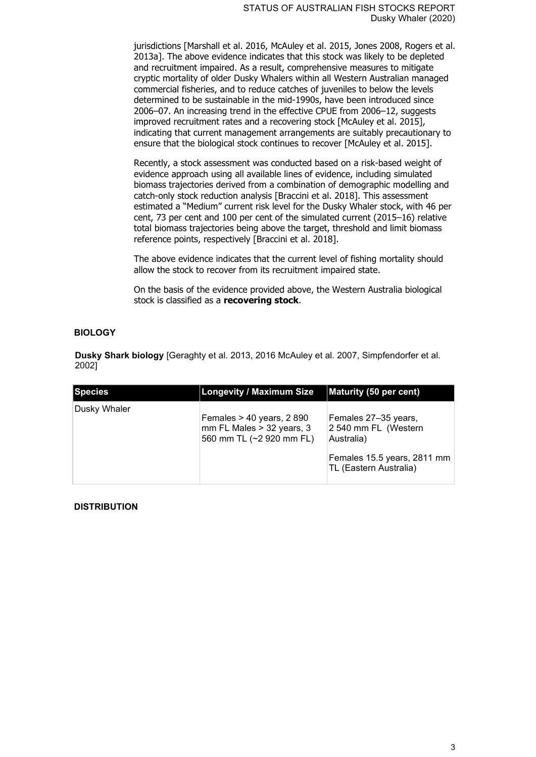jurisdictions [Marshall et al. 2016, McAuley et al. 2015, Jones 2008, Rogers et al. 2013a]. The above evidence indicates that this stock was likely to be depleted and recruitment impaired. As a result, comprehensive measures to mitigate cryptic mortality of older Dusky Whalers within all Western Australian managed commercial fisheries, and to reduce catches of juveniles to below the levels determined to be sustainable in the mid-1990s, have been introduced since 2006–07. An increasing trend in the effective CPUE from 2006–12, suggests improved recruitment rates and a recovering stock [McAuley et al. 2015], indicating that current management arrangements are suitably precautionary to ensure that the biological stock continues to recover [McAuley et al. 2015].

Recently, a stock assessment was conducted based on a risk-based weight of evidence approach using all available lines of evidence, including simulated biomass trajectories derived from a combination of demographic modelling and catch-only stock reduction analysis [Braccini et al. 2018]. This assessment estimated a "Medium" current risk level for the Dusky Whaler stock, with 46 per cent, 73 per cent and 100 per cent of the simulated current (2015–16) relative total biomass trajectories being above the target, threshold and limit biomass reference points, respectively [Braccini et al. 2018].

The above evidence indicates that the current level of fishing mortality should allow the stock to recover from its recruitment impaired state.

On the basis of the evidence provided above, the Western Australia biological stock is classified as a **recovering stock**.

#### **BIOLOGY**

**Dusky Shark biology** [Geraghty et al. 2013, 2016 McAuley et al. 2007, Simpfendorfer et al. 2002]

| <b>Species</b>      | <b>Longevity / Maximum Size</b>                                                      | Maturity (50 per cent)                                                                                              |
|---------------------|--------------------------------------------------------------------------------------|---------------------------------------------------------------------------------------------------------------------|
| <b>Dusky Whaler</b> | Females $> 40$ years, 2 890<br>mm FL Males > 32 years, 3<br>560 mm TL (~2 920 mm FL) | Females 27–35 years,<br>2 540 mm FL (Western<br>Australia)<br>Females 15.5 years, 2811 mm<br>TL (Eastern Australia) |

#### **DISTRIBUTION**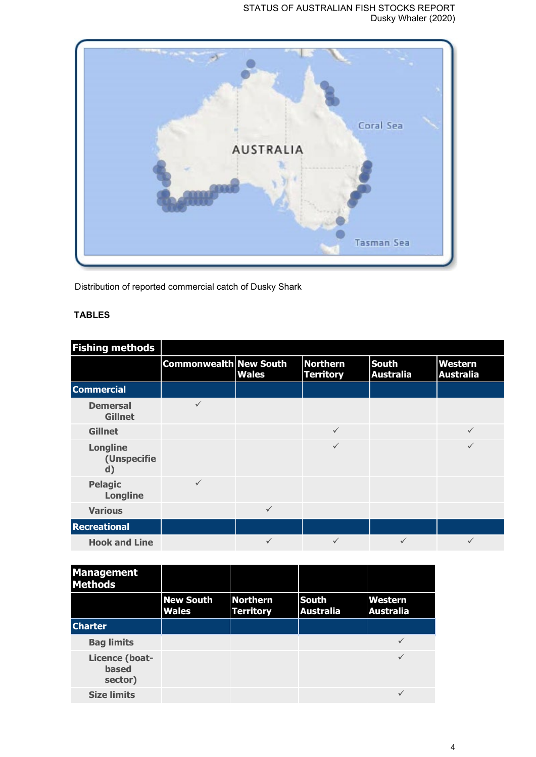#### STATUS OF AUSTRALIAN FISH STOCKS REPORT Dusky Whaler (2020)



Distribution of reported commercial catch of Dusky Shark

## **TABLES**

| <b>Fishing methods</b>                         |                               |              |                                     |                                  |                             |
|------------------------------------------------|-------------------------------|--------------|-------------------------------------|----------------------------------|-----------------------------|
|                                                | <b>Commonwealth New South</b> | <b>Wales</b> | <b>Northern</b><br><b>Territory</b> | <b>South</b><br><b>Australia</b> | Western<br><b>Australia</b> |
| <b>Commercial</b>                              |                               |              |                                     |                                  |                             |
| <b>Demersal</b><br><b>Gillnet</b>              | $\checkmark$                  |              |                                     |                                  |                             |
| <b>Gillnet</b>                                 |                               |              | $\checkmark$                        |                                  | $\checkmark$                |
| <b>Longline</b><br>(Unspecifie<br>$\mathbf{d}$ |                               |              | $\checkmark$                        |                                  |                             |
| <b>Pelagic</b><br><b>Longline</b>              | $\checkmark$                  |              |                                     |                                  |                             |
| <b>Various</b>                                 |                               | $\checkmark$ |                                     |                                  |                             |
| <b>Recreational</b>                            |                               |              |                                     |                                  |                             |
| <b>Hook and Line</b>                           |                               | ✓            | $\checkmark$                        | ✓                                |                             |

| <b>Management</b><br><b>Methods</b>       |                                  |                                     |                                  |                             |
|-------------------------------------------|----------------------------------|-------------------------------------|----------------------------------|-----------------------------|
|                                           | <b>New South</b><br><b>Wales</b> | <b>Northern</b><br><b>Territory</b> | <b>South</b><br><b>Australia</b> | Western<br><b>Australia</b> |
| <b>Charter</b>                            |                                  |                                     |                                  |                             |
| <b>Bag limits</b>                         |                                  |                                     |                                  |                             |
| Licence (boat-<br><b>based</b><br>sector) |                                  |                                     |                                  |                             |
| <b>Size limits</b>                        |                                  |                                     |                                  |                             |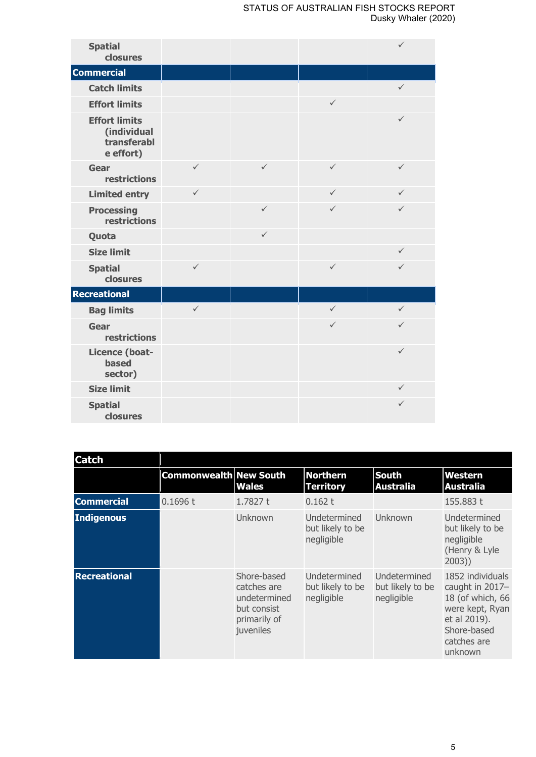| <b>Spatial</b><br>closures                                      |              |              |              | $\checkmark$ |
|-----------------------------------------------------------------|--------------|--------------|--------------|--------------|
| <b>Commercial</b>                                               |              |              |              |              |
| <b>Catch limits</b>                                             |              |              |              | $\checkmark$ |
| <b>Effort limits</b>                                            |              |              | $\checkmark$ |              |
| <b>Effort limits</b><br>(individual<br>transferabl<br>e effort) |              |              |              | $\checkmark$ |
| Gear<br>restrictions                                            | $\checkmark$ | $\checkmark$ | $\checkmark$ | $\checkmark$ |
| <b>Limited entry</b>                                            | $\checkmark$ |              | $\checkmark$ | $\checkmark$ |
| <b>Processing</b><br>restrictions                               |              | $\checkmark$ | $\checkmark$ | $\checkmark$ |
| Quota                                                           |              | $\checkmark$ |              |              |
| <b>Size limit</b>                                               |              |              |              | $\checkmark$ |
| <b>Spatial</b><br>closures                                      | $\checkmark$ |              | $\checkmark$ | $\checkmark$ |
| <b>Recreational</b>                                             |              |              |              |              |
| <b>Bag limits</b>                                               | $\checkmark$ |              | $\checkmark$ | $\checkmark$ |
| Gear<br>restrictions                                            |              |              | $\checkmark$ | $\checkmark$ |
| Licence (boat-<br><b>based</b><br>sector)                       |              |              |              | $\checkmark$ |
| <b>Size limit</b>                                               |              |              |              | $\checkmark$ |
| <b>Spatial</b><br>closures                                      |              |              |              | ✓            |

| <b>Catch</b>        |                               |                                                                                        |                                                |                                                |                                                                                                                                     |
|---------------------|-------------------------------|----------------------------------------------------------------------------------------|------------------------------------------------|------------------------------------------------|-------------------------------------------------------------------------------------------------------------------------------------|
|                     | <b>Commonwealth New South</b> | <b>Wales</b>                                                                           | <b>Northern</b><br><b>Territory</b>            | <b>South</b><br><b>Australia</b>               | Western<br><b>Australia</b>                                                                                                         |
| <b>Commercial</b>   | 0.1696 t                      | 1.7827 t                                                                               | 0.162 t                                        |                                                | 155.883 t                                                                                                                           |
| Indigenous          |                               | Unknown                                                                                | Undetermined<br>but likely to be<br>negligible | Unknown                                        | Undetermined<br>but likely to be<br>negligible<br>(Henry & Lyle<br>2003)                                                            |
| <b>Recreational</b> |                               | Shore-based<br>catches are<br>undetermined<br>but consist<br>primarily of<br>juveniles | Undetermined<br>but likely to be<br>negligible | Undetermined<br>but likely to be<br>negligible | 1852 individuals<br>caught in 2017-<br>18 (of which, 66<br>were kept, Ryan<br>et al 2019).<br>Shore-based<br>catches are<br>unknown |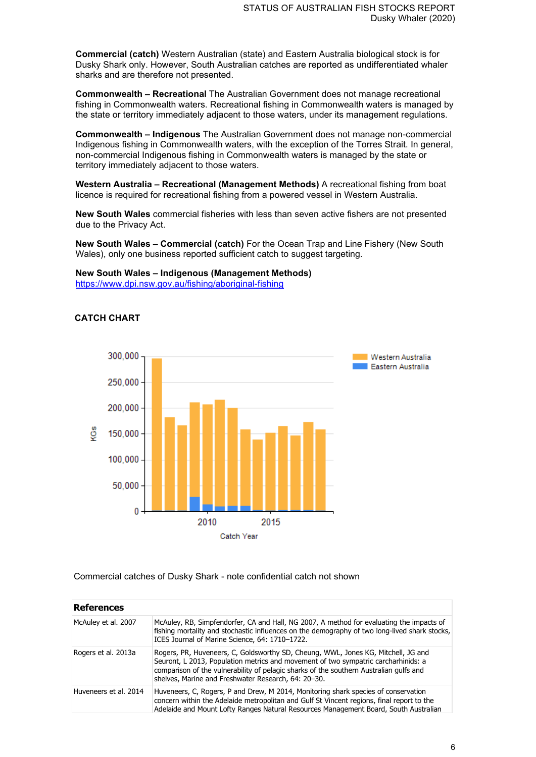**Commercial (catch)** Western Australian (state) and Eastern Australia biological stock is for Dusky Shark only. However, South Australian catches are reported as undifferentiated whaler sharks and are therefore not presented.

**Commonwealth – Recreational** The Australian Government does not manage recreational fishing in Commonwealth waters. Recreational fishing in Commonwealth waters is managed by the state or territory immediately adjacent to those waters, under its management regulations.

**Commonwealth – Indigenous** The Australian Government does not manage non-commercial Indigenous fishing in Commonwealth waters, with the exception of the Torres Strait. In general, non-commercial Indigenous fishing in Commonwealth waters is managed by the state or territory immediately adjacent to those waters.

**Western Australia – Recreational (Management Methods)** A recreational fishing from boat licence is required for recreational fishing from a powered vessel in Western Australia.

**New South Wales** commercial fisheries with less than seven active fishers are not presented due to the Privacy Act.

**New South Wales – Commercial (catch)** For the Ocean Trap and Line Fishery (New South Wales), only one business reported sufficient catch to suggest targeting.

## **New South Wales – Indigenous (Management Methods)**

<https://www.dpi.nsw.gov.au/fishing/aboriginal-fishing>

### **CATCH CHART**



Commercial catches of Dusky Shark - note confidential catch not shown

| <b>References</b>     |                                                                                                                                                                                                                                                                                                                          |
|-----------------------|--------------------------------------------------------------------------------------------------------------------------------------------------------------------------------------------------------------------------------------------------------------------------------------------------------------------------|
| McAuley et al. 2007   | McAuley, RB, Simpfendorfer, CA and Hall, NG 2007, A method for evaluating the impacts of<br>fishing mortality and stochastic influences on the demography of two long-lived shark stocks,<br>ICES Journal of Marine Science, 64: 1710-1722.                                                                              |
| Rogers et al. 2013a   | Rogers, PR, Huveneers, C, Goldsworthy SD, Cheung, WWL, Jones KG, Mitchell, JG and<br>Seuront, L 2013, Population metrics and movement of two sympatric carcharhinids: a<br>comparison of the vulnerability of pelagic sharks of the southern Australian gulfs and<br>shelves, Marine and Freshwater Research, 64: 20-30. |
| Huveneers et al. 2014 | Huveneers, C, Rogers, P and Drew, M 2014, Monitoring shark species of conservation<br>concern within the Adelaide metropolitan and Gulf St Vincent regions, final report to the<br>Adelaide and Mount Lofty Ranges Natural Resources Management Board, South Australian                                                  |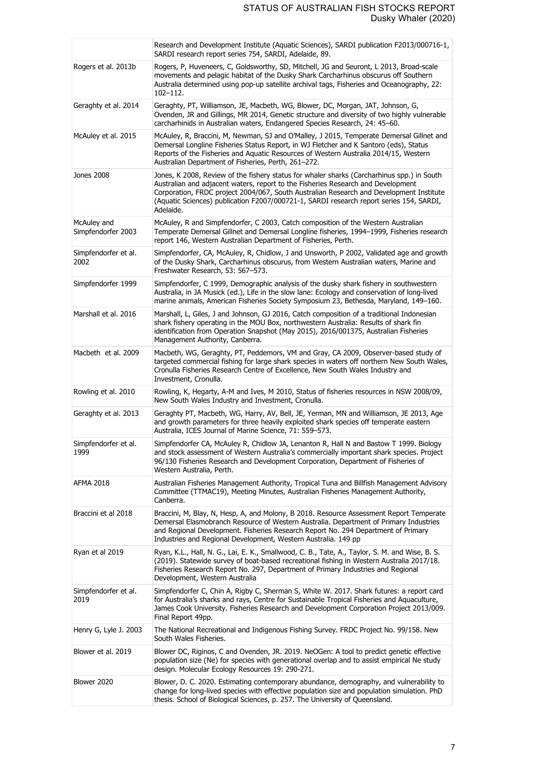|                                   | Research and Development Institute (Aquatic Sciences), SARDI publication F2013/000716-1,<br>SARDI research report series 754, SARDI, Adelaide, 89.                                                                                                                                                                                                                                |
|-----------------------------------|-----------------------------------------------------------------------------------------------------------------------------------------------------------------------------------------------------------------------------------------------------------------------------------------------------------------------------------------------------------------------------------|
| Rogers et al. 2013b               | Rogers, P, Huveneers, C, Goldsworthy, SD, Mitchell, JG and Seuront, L 2013, Broad-scale<br>movements and pelagic habitat of the Dusky Shark Carcharhinus obscurus off Southern<br>Australia determined using pop-up satellite archival tags, Fisheries and Oceanography, 22:<br>$102 - 112.$                                                                                      |
| Geraghty et al. 2014              | Geraghty, PT, Williamson, JE, Macbeth, WG, Blower, DC, Morgan, JAT, Johnson, G,<br>Ovenden, JR and Gillings, MR 2014, Genetic structure and diversity of two highly vulnerable<br>carcharhinids in Australian waters, Endangered Species Research, 24: 45–60.                                                                                                                     |
| McAuley et al. 2015               | McAuley, R, Braccini, M, Newman, SJ and O'Malley, J 2015, Temperate Demersal Gillnet and<br>Demersal Longline Fisheries Status Report, in WJ Fletcher and K Santoro (eds), Status<br>Reports of the Fisheries and Aquatic Resources of Western Australia 2014/15, Western<br>Australian Department of Fisheries, Perth, 261-272.                                                  |
| Jones 2008                        | Jones, K 2008, Review of the fishery status for whaler sharks (Carcharhinus spp.) in South<br>Australian and adjacent waters, report to the Fisheries Research and Development<br>Corporation, FRDC project 2004/067, South Australian Research and Development Institute<br>(Aquatic Sciences) publication F2007/000721-1, SARDI research report series 154, SARDI,<br>Adelaide. |
| McAuley and<br>Simpfendorfer 2003 | McAuley, R and Simpfendorfer, C 2003, Catch composition of the Western Australian<br>Temperate Demersal Gillnet and Demersal Longline fisheries, 1994–1999, Fisheries research<br>report 146, Western Australian Department of Fisheries, Perth.                                                                                                                                  |
| Simpfendorfer et al.<br>2002      | Simpfendorfer, CA, McAuley, R, Chidlow, J and Unsworth, P 2002, Validated age and growth<br>of the Dusky Shark, Carcharhinus obscurus, from Western Australian waters, Marine and<br>Freshwater Research, 53: 567-573.                                                                                                                                                            |
| Simpfendorfer 1999                | Simpfendorfer, C 1999, Demographic analysis of the dusky shark fishery in southwestern<br>Australia, in JA Musick (ed.), Life in the slow lane: Ecology and conservation of long-lived<br>marine animals, American Fisheries Society Symposium 23, Bethesda, Maryland, 149-160.                                                                                                   |
| Marshall et al. 2016              | Marshall, L, Giles, J and Johnson, GJ 2016, Catch composition of a traditional Indonesian<br>shark fishery operating in the MOU Box, northwestern Australia: Results of shark fin<br>identification from Operation Snapshot (May 2015), 2016/001375, Australian Fisheries<br>Management Authority, Canberra.                                                                      |
| Macbeth et al. 2009               | Macbeth, WG, Geraghty, PT, Peddemors, VM and Gray, CA 2009, Observer-based study of<br>targeted commercial fishing for large shark species in waters off northern New South Wales,<br>Cronulla Fisheries Research Centre of Excellence, New South Wales Industry and<br>Investment, Cronulla.                                                                                     |
| Rowling et al. 2010               | Rowling, K, Hegarty, A-M and Ives, M 2010, Status of fisheries resources in NSW 2008/09,<br>New South Wales Industry and Investment, Cronulla.                                                                                                                                                                                                                                    |
| Geraghty et al. 2013              | Geraghty PT, Macbeth, WG, Harry, AV, Bell, JE, Yerman, MN and Williamson, JE 2013, Age<br>and growth parameters for three heavily exploited shark species off temperate eastern<br>Australia, ICES Journal of Marine Science, 71: 559-573.                                                                                                                                        |
| Simpfendorfer et al.<br>1999      | Simpfendorfer CA, McAuley R, Chidlow JA, Lenanton R, Hall N and Bastow T 1999. Biology<br>and stock assessment of Western Australia's commercially important shark species. Project<br>96/130 Fisheries Research and Development Corporation, Department of Fisheries of<br>Western Australia, Perth.                                                                             |
| <b>AFMA 2018</b>                  | Australian Fisheries Management Authority, Tropical Tuna and Billfish Management Advisory<br>Committee (TTMAC19), Meeting Minutes, Australian Fisheries Management Authority,<br>Canberra.                                                                                                                                                                                        |
| Braccini et al 2018               | Braccini, M, Blay, N, Hesp, A, and Molony, B 2018. Resource Assessment Report Temperate<br>Demersal Elasmobranch Resource of Western Australia. Department of Primary Industries<br>and Regional Development. Fisheries Research Report No. 294 Department of Primary<br>Industries and Regional Development, Western Australia. 149 pp.                                          |
| Ryan et al 2019                   | Ryan, K.L., Hall, N. G., Lai, E. K., Smallwood, C. B., Tate, A., Taylor, S. M. and Wise, B. S.<br>(2019). Statewide survey of boat-based recreational fishing in Western Australia 2017/18.<br>Fisheries Research Report No. 297, Department of Primary Industries and Regional<br>Development, Western Australia                                                                 |
| Simpfendorfer et al.<br>2019      | Simpfendorfer C, Chin A, Rigby C, Sherman S, White W. 2017. Shark futures: a report card<br>for Australia's sharks and rays, Centre for Sustainable Tropical Fisheries and Aquaculture,<br>James Cook University. Fisheries Research and Development Corporation Project 2013/009.<br>Final Report 49pp.                                                                          |
| Henry G, Lyle J. 2003             | The National Recreational and Indigenous Fishing Survey. FRDC Project No. 99/158. New<br>South Wales Fisheries.                                                                                                                                                                                                                                                                   |
| Blower et al. 2019                | Blower DC, Riginos, C and Ovenden, JR. 2019. NeOGen: A tool to predict genetic effective<br>population size (Ne) for species with generational overlap and to assist empirical Ne study<br>design. Molecular Ecology Resources 19: 290-271.                                                                                                                                       |
| Blower 2020                       | Blower, D. C. 2020. Estimating contemporary abundance, demography, and vulnerability to<br>change for long-lived species with effective population size and population simulation. PhD<br>thesis. School of Biological Sciences, p. 257. The University of Queensland.                                                                                                            |